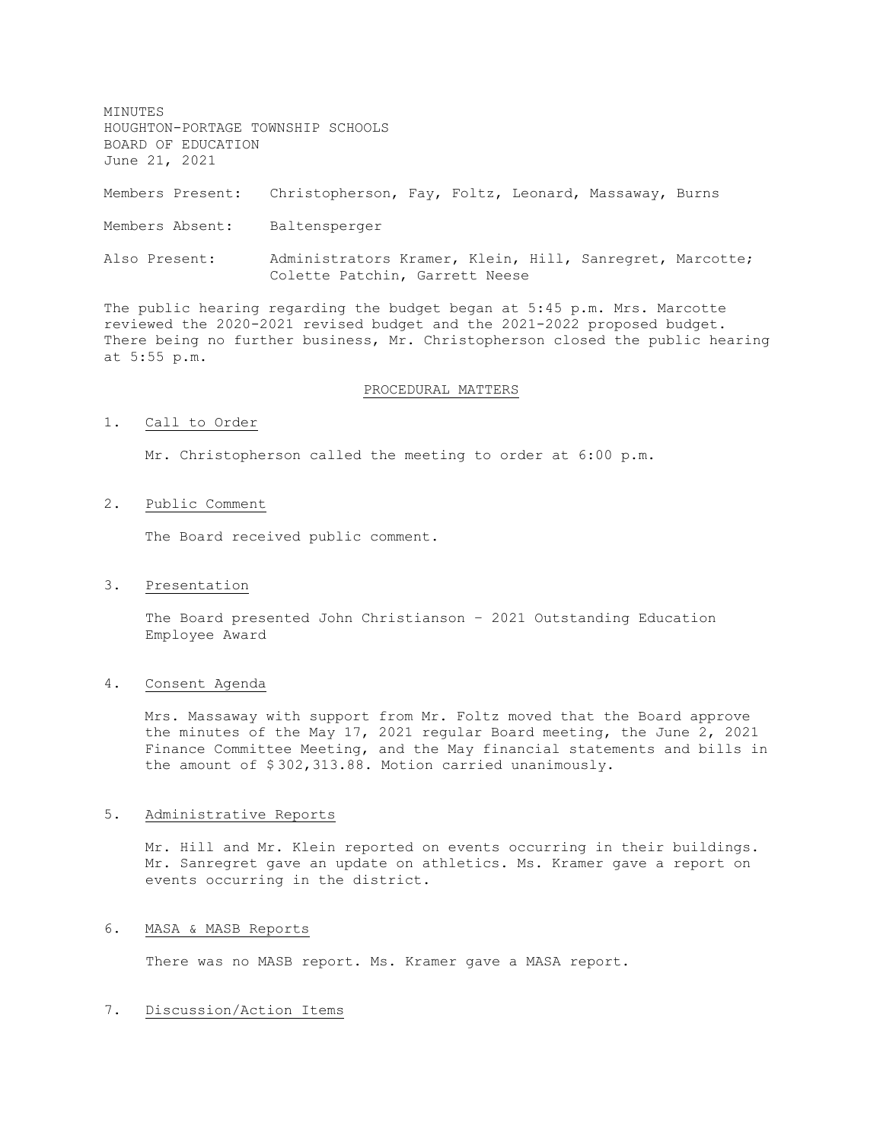MINUTES HOUGHTON-PORTAGE TOWNSHIP SCHOOLS BOARD OF EDUCATION June 21, 2021 Members Present: Christopherson, Fay, Foltz, Leonard, Massaway, Burns Members Absent: Baltensperger Also Present: Administrators Kramer, Klein, Hill, Sanregret, Marcotte; Colette Patchin, Garrett Neese

The public hearing regarding the budget began at 5:45 p.m. Mrs. Marcotte reviewed the 2020-2021 revised budget and the 2021-2022 proposed budget. There being no further business, Mr. Christopherson closed the public hearing at 5:55 p.m.

#### PROCEDURAL MATTERS

#### 1. Call to Order

Mr. Christopherson called the meeting to order at 6:00 p.m.

#### 2. Public Comment

The Board received public comment.

#### 3. Presentation

The Board presented John Christianson – 2021 Outstanding Education Employee Award

# 4. Consent Agenda

Mrs. Massaway with support from Mr. Foltz moved that the Board approve the minutes of the May 17, 2021 regular Board meeting, the June 2, 2021 Finance Committee Meeting, and the May financial statements and bills in the amount of \$ 302,313.88. Motion carried unanimously.

#### 5. Administrative Reports

Mr. Hill and Mr. Klein reported on events occurring in their buildings. Mr. Sanregret gave an update on athletics. Ms. Kramer gave a report on events occurring in the district.

## 6. MASA & MASB Reports

There was no MASB report. Ms. Kramer gave a MASA report.

## 7. Discussion/Action Items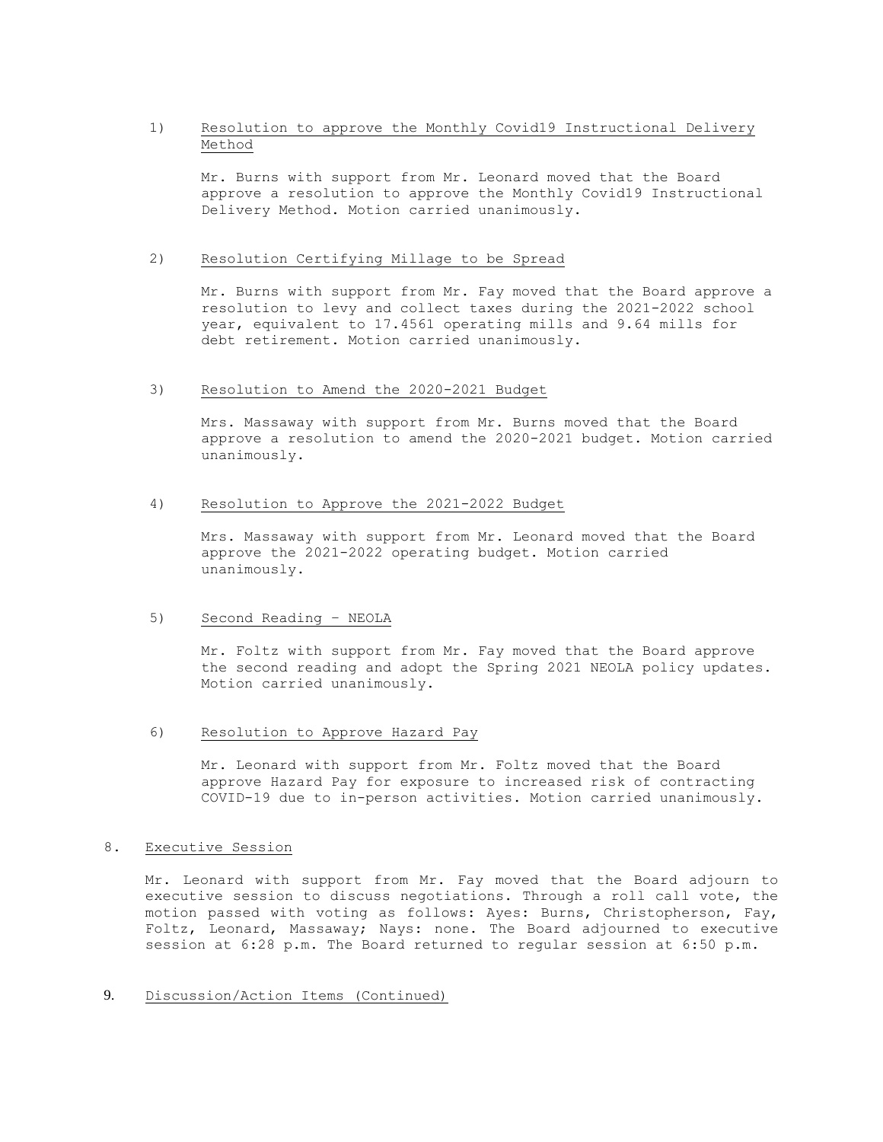# 1) Resolution to approve the Monthly Covid19 Instructional Delivery Method

Mr. Burns with support from Mr. Leonard moved that the Board approve a resolution to approve the Monthly Covid19 Instructional Delivery Method. Motion carried unanimously.

#### 2) Resolution Certifying Millage to be Spread

Mr. Burns with support from Mr. Fay moved that the Board approve a resolution to levy and collect taxes during the 2021-2022 school year, equivalent to 17.4561 operating mills and 9.64 mills for debt retirement. Motion carried unanimously.

## 3) Resolution to Amend the 2020-2021 Budget

Mrs. Massaway with support from Mr. Burns moved that the Board approve a resolution to amend the 2020-2021 budget. Motion carried unanimously.

## 4) Resolution to Approve the 2021-2022 Budget

Mrs. Massaway with support from Mr. Leonard moved that the Board approve the 2021-2022 operating budget. Motion carried unanimously.

## 5) Second Reading – NEOLA

Mr. Foltz with support from Mr. Fay moved that the Board approve the second reading and adopt the Spring 2021 NEOLA policy updates. Motion carried unanimously.

# 6) Resolution to Approve Hazard Pay

Mr. Leonard with support from Mr. Foltz moved that the Board approve Hazard Pay for exposure to increased risk of contracting COVID-19 due to in-person activities. Motion carried unanimously.

#### 8. Executive Session

Mr. Leonard with support from Mr. Fay moved that the Board adjourn to executive session to discuss negotiations. Through a roll call vote, the motion passed with voting as follows: Ayes: Burns, Christopherson, Fay, Foltz, Leonard, Massaway; Nays: none. The Board adjourned to executive session at 6:28 p.m. The Board returned to regular session at 6:50 p.m.

#### 9. Discussion/Action Items (Continued)